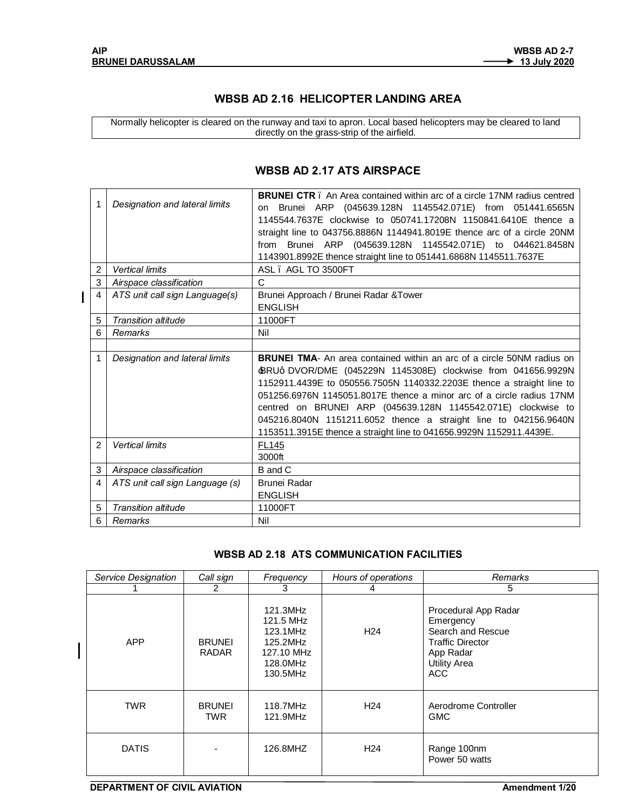$\overline{1}$ 

## **WBSB AD 2.16 HELICOPTER LANDING AREA**

Normally helicopter is cleared on the runway and taxi to apron. Local based helicopters may be cleared to land directly on the grass-strip of the airfield.

| 1              | Designation and lateral limits  | <b>BRUNEL CTR</b> . An Area contained within arc of a circle 17NM radius centred<br>Brunei ARP (045639.128N 1145542.071E) from 051441.6565N<br>on<br>1145544.7637E clockwise to 050741.17208N 1150841.6410E thence a<br>straight line to 043756.8886N 1144941.8019E thence arc of a circle 20NM<br>Brunei ARP (045639.128N 1145542.071E) to 044621.8458N<br>from<br>1143901.8992E thence straight line to 051441.6868N 1145511.7637E                                                                        |
|----------------|---------------------------------|-------------------------------------------------------------------------------------------------------------------------------------------------------------------------------------------------------------------------------------------------------------------------------------------------------------------------------------------------------------------------------------------------------------------------------------------------------------------------------------------------------------|
| $\overline{2}$ | <b>Vertical limits</b>          | ASL. AGL TO 3500FT                                                                                                                                                                                                                                                                                                                                                                                                                                                                                          |
| 3              | Airspace classification         | C                                                                                                                                                                                                                                                                                                                                                                                                                                                                                                           |
| 4              | ATS unit call sign Language(s)  | Brunei Approach / Brunei Radar & Tower<br><b>ENGLISH</b>                                                                                                                                                                                                                                                                                                                                                                                                                                                    |
| 5              | <b>Transition altitude</b>      | 11000FT                                                                                                                                                                                                                                                                                                                                                                                                                                                                                                     |
| 6              | Remarks                         | Nil                                                                                                                                                                                                                                                                                                                                                                                                                                                                                                         |
|                |                                 |                                                                                                                                                                                                                                                                                                                                                                                                                                                                                                             |
| 1              | Designation and lateral limits  | <b>BRUNEL TMA-</b> An area contained within an arc of a circle 50NM radius on<br>BRUq DVOR/DME (045229N 1145308E) clockwise from 041656.9929N<br>1152911.4439E to 050556.7505N 1140332.2203E thence a straight line to<br>051256.6976N 1145051.8017E thence a minor arc of a circle radius 17NM<br>centred on BRUNEI ARP (045639.128N 1145542.071E) clockwise to<br>045216.8040N 1151211.6052 thence a straight line to 042156.9640N<br>1153511.3915E thence a straight line to 041656.9929N 1152911.4439E. |
| $\mathfrak{p}$ | <b>Vertical limits</b>          | <b>FL145</b><br>3000ft                                                                                                                                                                                                                                                                                                                                                                                                                                                                                      |
| 3              | Airspace classification         | B and C                                                                                                                                                                                                                                                                                                                                                                                                                                                                                                     |
| 4              | ATS unit call sign Language (s) | Brunei Radar<br><b>ENGLISH</b>                                                                                                                                                                                                                                                                                                                                                                                                                                                                              |
| 5              | <b>Transition altitude</b>      | 11000FT                                                                                                                                                                                                                                                                                                                                                                                                                                                                                                     |
| 6              | Remarks                         | Nil                                                                                                                                                                                                                                                                                                                                                                                                                                                                                                         |

## **WBSB AD 2.17 ATS AIRSPACE**

## **WBSB AD 2.18 ATS COMMUNICATION FACILITIES**

| Service Designation | Call sign                     | Frequency                                                                           | Hours of operations | Remarks                                                                                                                      |  |
|---------------------|-------------------------------|-------------------------------------------------------------------------------------|---------------------|------------------------------------------------------------------------------------------------------------------------------|--|
|                     | 2                             | 3                                                                                   | 4                   | 5                                                                                                                            |  |
| <b>APP</b>          | <b>BRUNEI</b><br><b>RADAR</b> | 121.3MHz<br>121.5 MHz<br>123.1MHz<br>125.2MHz<br>127.10 MHz<br>128.0MHz<br>130.5MHz | H <sub>24</sub>     | Procedural App Radar<br>Emergency<br>Search and Rescue<br><b>Traffic Director</b><br>App Radar<br><b>Utility Area</b><br>ACC |  |
| <b>TWR</b>          | <b>BRUNEI</b><br><b>TWR</b>   | 118.7MHz<br>121.9MHz                                                                | H <sub>24</sub>     | Aerodrome Controller<br><b>GMC</b>                                                                                           |  |
| <b>DATIS</b>        |                               | 126.8MHZ                                                                            | H <sub>24</sub>     | Range 100nm<br>Power 50 watts                                                                                                |  |